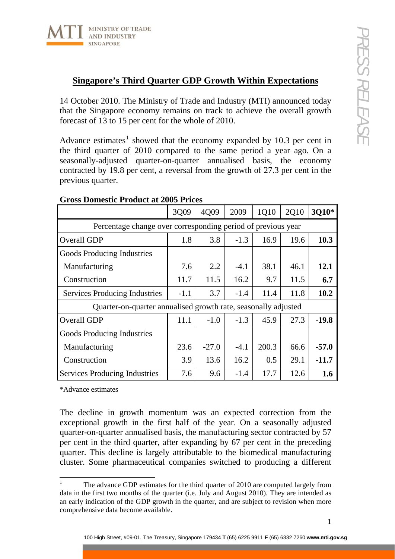

## **Singapore's Third Quarter GDP Growth Within Expectations**

14 October 2010. The Ministry of Trade and Industry (MTI) announced today that the Singapore economy remains on track to achieve the overall growth forecast of 13 to 15 per cent for the whole of 2010.

Advance estimates<sup>[1](#page-0-0)</sup> showed that the economy expanded by 10.3 per cent in the third quarter of 2010 compared to the same period a year ago. On a seasonally-adjusted quarter-on-quarter annualised basis, the economy contracted by 19.8 per cent, a reversal from the growth of 27.3 per cent in the previous quarter.

|                                                                | 3Q09   | 4Q09    | 2009   | 1Q10  | 2Q10 | 3Q10*   |
|----------------------------------------------------------------|--------|---------|--------|-------|------|---------|
| Percentage change over corresponding period of previous year   |        |         |        |       |      |         |
| Overall GDP                                                    | 1.8    | 3.8     | $-1.3$ | 16.9  | 19.6 | 10.3    |
| Goods Producing Industries                                     |        |         |        |       |      |         |
| Manufacturing                                                  | 7.6    | 2.2     | $-4.1$ | 38.1  | 46.1 | 12.1    |
| Construction                                                   | 11.7   | 11.5    | 16.2   | 9.7   | 11.5 | 6.7     |
| <b>Services Producing Industries</b>                           | $-1.1$ | 3.7     | $-1.4$ | 11.4  | 11.8 | 10.2    |
| Quarter-on-quarter annualised growth rate, seasonally adjusted |        |         |        |       |      |         |
| Overall GDP                                                    | 11.1   | $-1.0$  | $-1.3$ | 45.9  | 27.3 | $-19.8$ |
| Goods Producing Industries                                     |        |         |        |       |      |         |
| Manufacturing                                                  | 23.6   | $-27.0$ | $-4.1$ | 200.3 | 66.6 | $-57.0$ |
| Construction                                                   | 3.9    | 13.6    | 16.2   | 0.5   | 29.1 | $-11.7$ |
| Services Producing Industries                                  | 7.6    | 9.6     | $-1.4$ | 17.7  | 12.6 | 1.6     |

## **Gross Domestic Product at 2005 Prices**

\*Advance estimates

The decline in growth momentum was an expected correction from the exceptional growth in the first half of the year. On a seasonally adjusted quarter-on-quarter annualised basis, the manufacturing sector contracted by 57 per cent in the third quarter, after expanding by 67 per cent in the preceding quarter. This decline is largely attributable to the biomedical manufacturing cluster. Some pharmaceutical companies switched to producing a different

<span id="page-0-0"></span> $\frac{1}{1}$  The advance GDP estimates for the third quarter of 2010 are computed largely from data in the first two months of the quarter (i.e. July and August 2010). They are intended as an early indication of the GDP growth in the quarter, and are subject to revision when more comprehensive data become available.